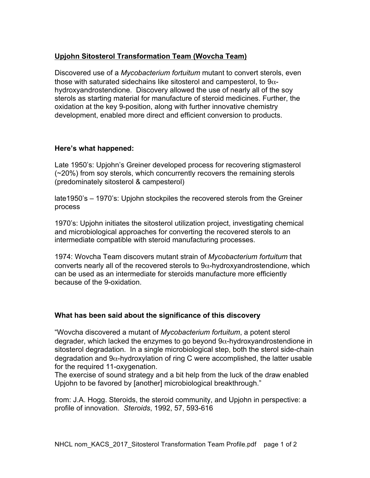# **Upjohn Sitosterol Transformation Team (Wovcha Team)**

Discovered use of a *Mycobacterium fortuitum* mutant to convert sterols, even those with saturated sidechains like sitosterol and campesterol, to  $9\alpha$ hydroxyandrostendione. Discovery allowed the use of nearly all of the soy sterols as starting material for manufacture of steroid medicines. Further, the oxidation at the key 9-position, along with further innovative chemistry development, enabled more direct and efficient conversion to products.

### **Here's what happened:**

Late 1950's: Upjohn's Greiner developed process for recovering stigmasterol (~20%) from soy sterols, which concurrently recovers the remaining sterols (predominately sitosterol & campesterol)

late1950's – 1970's: Upjohn stockpiles the recovered sterols from the Greiner process

1970's: Upjohn initiates the sitosterol utilization project, investigating chemical and microbiological approaches for converting the recovered sterols to an intermediate compatible with steroid manufacturing processes.

1974: Wovcha Team discovers mutant strain of *Mycobacterium fortuitum* that converts nearly all of the recovered sterols to  $9\alpha$ -hydroxyandrostendione, which can be used as an intermediate for steroids manufacture more efficiently because of the 9-oxidation.

# **What has been said about the significance of this discovery**

"Wovcha discovered a mutant of *Mycobacterium fortuitum*, a potent sterol degrader, which lacked the enzymes to go beyond  $9\alpha$ -hydroxyandrostendione in sitosterol degradation. In a single microbiological step, both the sterol side-chain degradation and  $9\alpha$ -hydroxylation of ring C were accomplished, the latter usable for the required 11-oxygenation.

The exercise of sound strategy and a bit help from the luck of the draw enabled Upjohn to be favored by [another] microbiological breakthrough."

from: J.A. Hogg. Steroids, the steroid community, and Upjohn in perspective: a profile of innovation. *Steroids*, 1992, 57, 593-616